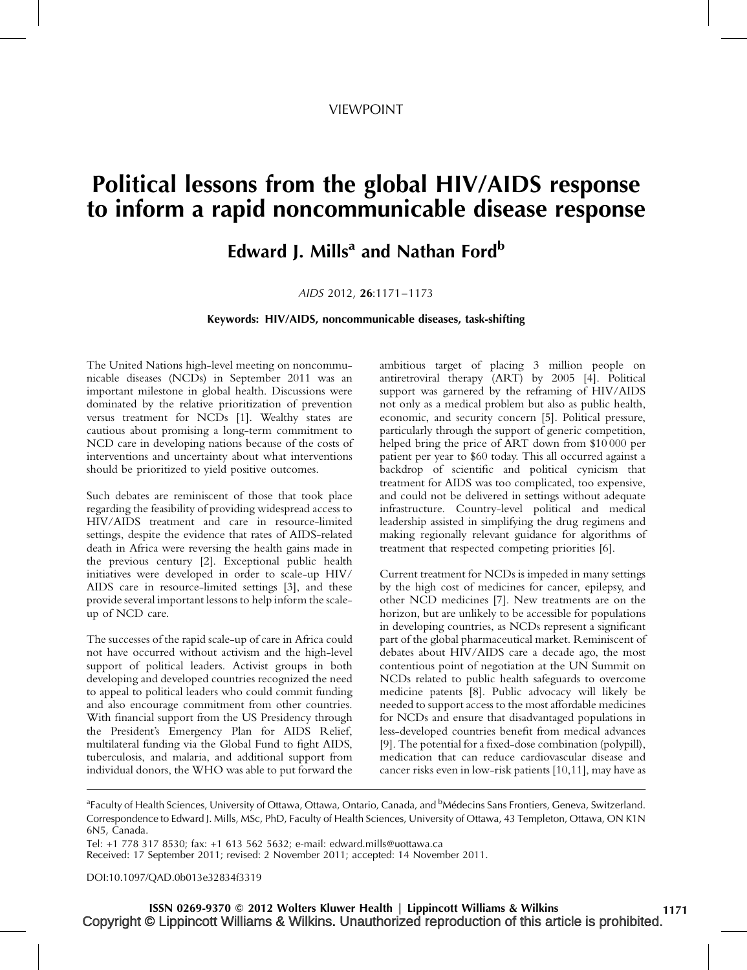#### VIEWPOINT

# Political lessons from the global HIV/AIDS response to inform a rapid noncommunicable disease response

## Edward J. Mills<sup>a</sup> and Nathan Ford<sup>b</sup>

#### AIDS 2012, 26*:*1171–1173

Keywords: HIV/AIDS, noncommunicable diseases, task-shifting

The United Nations high-level meeting on noncommunicable diseases (NCDs) in September 2011 was an important milestone in global health. Discussions were dominated by the relative prioritization of prevention versus treatment for NCDs [\[1\]](#page-2-0). Wealthy states are cautious about promising a long-term commitment to NCD care in developing nations because of the costs of interventions and uncertainty about what interventions should be prioritized to yield positive outcomes.

Such debates are reminiscent of those that took place regarding the feasibility of providing widespread access to HIV/AIDS treatment and care in resource-limited settings, despite the evidence that rates of AIDS-related death in Africa were reversing the health gains made in the previous century [\[2\].](#page-2-0) Exceptional public health initiatives were developed in order to scale-up HIV/ AIDS care in resource-limited settings [\[3\],](#page-2-0) and these provide several important lessons to help inform the scaleup of NCD care.

The successes of the rapid scale-up of care in Africa could not have occurred without activism and the high-level support of political leaders. Activist groups in both developing and developed countries recognized the need to appeal to political leaders who could commit funding and also encourage commitment from other countries. With financial support from the US Presidency through the President's Emergency Plan for AIDS Relief, multilateral funding via the Global Fund to fight AIDS, tuberculosis, and malaria, and additional support from individual donors, the WHO was able to put forward the

ambitious target of placing 3 million people on antiretroviral therapy (ART) by 2005 [\[4\].](#page-2-0) Political support was garnered by the reframing of HIV/AIDS not only as a medical problem but also as public health, economic, and security concern [\[5\].](#page-2-0) Political pressure, particularly through the support of generic competition, helped bring the price of ART down from \$10 000 per patient per year to \$60 today. This all occurred against a backdrop of scientific and political cynicism that treatment for AIDS was too complicated, too expensive, and could not be delivered in settings without adequate infrastructure. Country-level political and medical leadership assisted in simplifying the drug regimens and making regionally relevant guidance for algorithms of treatment that respected competing priorities [\[6\].](#page-2-0)

Current treatment for NCDs is impeded in many settings by the high cost of medicines for cancer, epilepsy, and other NCD medicines [\[7\].](#page-2-0) New treatments are on the horizon, but are unlikely to be accessible for populations in developing countries, as NCDs represent a significant part of the global pharmaceutical market. Reminiscent of debates about HIV/AIDS care a decade ago, the most contentious point of negotiation at the UN Summit on NCDs related to public health safeguards to overcome medicine patents [\[8\].](#page-2-0) Public advocacy will likely be needed to support access to the most affordable medicines for NCDs and ensure that disadvantaged populations in less-developed countries benefit from medical advances [\[9\]](#page-2-0). The potential for a fixed-dose combination (polypill), medication that can reduce cardiovascular disease and cancer risks even in low-risk patients [\[10,11\],](#page-2-0) may have as

Tel: +1 778 317 8530; fax: +1 613 562 5632; e-mail: [edward.mills@uottawa.ca](mailto:edward.mills@uottawa.ca) Received: 17 September 2011; revised: 2 November 2011; accepted: 14 November 2011.

DOI[:10.1097/QAD.0b013e32834f3319](http://dx.doi.org/10.1097/QAD.0b013e32834f3319)

<sup>&</sup>lt;sup>a</sup>Faculty of Health Sciences, University of Ottawa, Ottawa, Ontario, Canada, and <sup>b</sup>Médecins Sans Frontiers, Geneva, Switzerland. Correspondence to Edward J. Mills, MSc, PhD, Faculty of Health Sciences, University of Ottawa, 43 Templeton, Ottawa, ON K1N 6N5, Canada.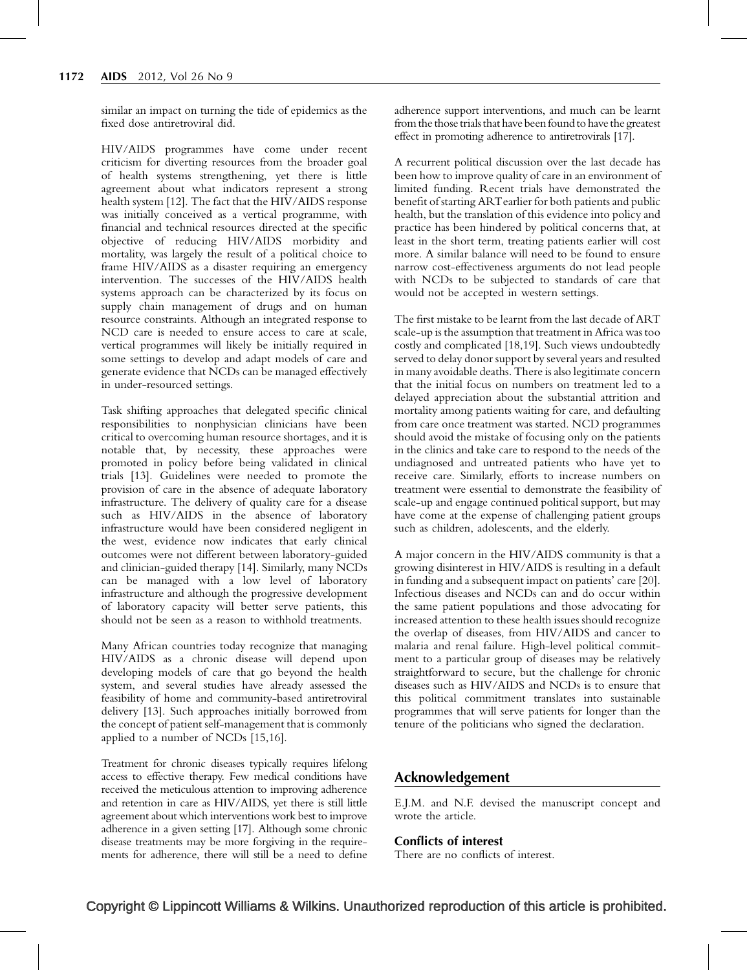similar an impact on turning the tide of epidemics as the fixed dose antiretroviral did.

HIV/AIDS programmes have come under recent criticism for diverting resources from the broader goal of health systems strengthening, yet there is little agreement about what indicators represent a strong health system [\[12\]](#page-2-0). The fact that the HIV/AIDS response was initially conceived as a vertical programme, with financial and technical resources directed at the specific objective of reducing HIV/AIDS morbidity and mortality, was largely the result of a political choice to frame HIV/AIDS as a disaster requiring an emergency intervention. The successes of the HIV/AIDS health systems approach can be characterized by its focus on supply chain management of drugs and on human resource constraints. Although an integrated response to NCD care is needed to ensure access to care at scale, vertical programmes will likely be initially required in some settings to develop and adapt models of care and generate evidence that NCDs can be managed effectively in under-resourced settings.

Task shifting approaches that delegated specific clinical responsibilities to nonphysician clinicians have been critical to overcoming human resource shortages, and it is notable that, by necessity, these approaches were promoted in policy before being validated in clinical trials [\[13\]](#page-2-0). Guidelines were needed to promote the provision of care in the absence of adequate laboratory infrastructure. The delivery of quality care for a disease such as HIV/AIDS in the absence of laboratory infrastructure would have been considered negligent in the west, evidence now indicates that early clinical outcomes were not different between laboratory-guided and clinician-guided therapy [\[14\]](#page-2-0). Similarly, many NCDs can be managed with a low level of laboratory infrastructure and although the progressive development of laboratory capacity will better serve patients, this should not be seen as a reason to withhold treatments.

Many African countries today recognize that managing HIV/AIDS as a chronic disease will depend upon developing models of care that go beyond the health system, and several studies have already assessed the feasibility of home and community-based antiretroviral delivery [\[13\]](#page-2-0). Such approaches initially borrowed from the concept of patient self-management that is commonly applied to a number of NCDs [\[15,16\].](#page-2-0)

Treatment for chronic diseases typically requires lifelong access to effective therapy. Few medical conditions have received the meticulous attention to improving adherence and retention in care as HIV/AIDS, yet there is still little agreement about which interventions work best to improve adherence in a given setting [\[17\]](#page-2-0). Although some chronic disease treatments may be more forgiving in the requirements for adherence, there will still be a need to define adherence support interventions, and much can be learnt from the those trials that have been found to have the greatest effect in promoting adherence to antiretrovirals [\[17\].](#page-2-0)

A recurrent political discussion over the last decade has been how to improve quality of care in an environment of limited funding. Recent trials have demonstrated the benefit of starting ARTearlier for both patients and public health, but the translation of this evidence into policy and practice has been hindered by political concerns that, at least in the short term, treating patients earlier will cost more. A similar balance will need to be found to ensure narrow cost-effectiveness arguments do not lead people with NCDs to be subjected to standards of care that would not be accepted in western settings.

The first mistake to be learnt from the last decade of ART scale-up is the assumption that treatment in Africa was too costly and complicated [\[18,19\].](#page-2-0) Such views undoubtedly served to delay donor support by several years and resulted in many avoidable deaths. There is also legitimate concern that the initial focus on numbers on treatment led to a delayed appreciation about the substantial attrition and mortality among patients waiting for care, and defaulting from care once treatment was started. NCD programmes should avoid the mistake of focusing only on the patients in the clinics and take care to respond to the needs of the undiagnosed and untreated patients who have yet to receive care. Similarly, efforts to increase numbers on treatment were essential to demonstrate the feasibility of scale-up and engage continued political support, but may have come at the expense of challenging patient groups such as children, adolescents, and the elderly.

A major concern in the HIV/AIDS community is that a growing disinterest in HIV/AIDS is resulting in a default in funding and a subsequent impact on patients' care [\[20\]](#page-2-0). Infectious diseases and NCDs can and do occur within the same patient populations and those advocating for increased attention to these health issues should recognize the overlap of diseases, from HIV/AIDS and cancer to malaria and renal failure. High-level political commitment to a particular group of diseases may be relatively straightforward to secure, but the challenge for chronic diseases such as HIV/AIDS and NCDs is to ensure that this political commitment translates into sustainable programmes that will serve patients for longer than the tenure of the politicians who signed the declaration.

### Acknowledgement

E.J.M. and N.F. devised the manuscript concept and wrote the article.

#### Conflicts of interest

There are no conflicts of interest.